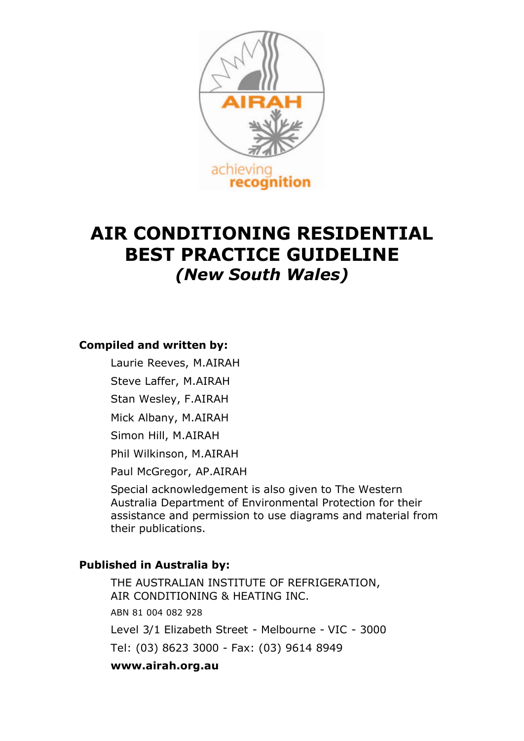

# **AIR CONDITIONING RESIDENTIAL BEST PRACTICE GUIDELINE** *(New South Wales)*

#### **Compiled and written by:**

Laurie Reeves, M.AIRAH

Steve Laffer, M.AIRAH

Stan Wesley, F.AIRAH

Mick Albany, M.AIRAH

Simon Hill, M.AIRAH

Phil Wilkinson, M.AIRAH

Paul McGregor, AP.AIRAH

Special acknowledgement is also given to The Western Australia Department of Environmental Protection for their assistance and permission to use diagrams and material from their publications.

#### **Published in Australia by:**

THE AUSTRALIAN INSTITUTE OF REFRIGERATION, AIR CONDITIONING & HEATING INC. ABN 81 004 082 928 Level 3/1 Elizabeth Street - Melbourne - VIC - 3000 Tel: (03) 8623 3000 - Fax: (03) 9614 8949 **www.airah.org.au**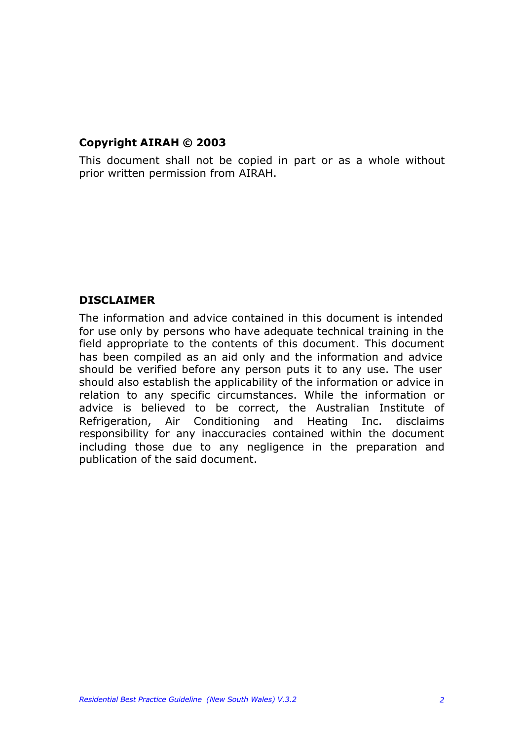#### **Copyright AIRAH © 2003**

This document shall not be copied in part or as a whole without prior written permission from AIRAH.

#### **DISCLAIMER**

The information and advice contained in this document is intended for use only by persons who have adequate technical training in the field appropriate to the contents of this document. This document has been compiled as an aid only and the information and advice should be verified before any person puts it to any use. The user should also establish the applicability of the information or advice in relation to any specific circumstances. While the information or advice is believed to be correct, the Australian Institute of Refrigeration, Air Conditioning and Heating Inc. disclaims responsibility for any inaccuracies contained within the document including those due to any negligence in the preparation and publication of the said document.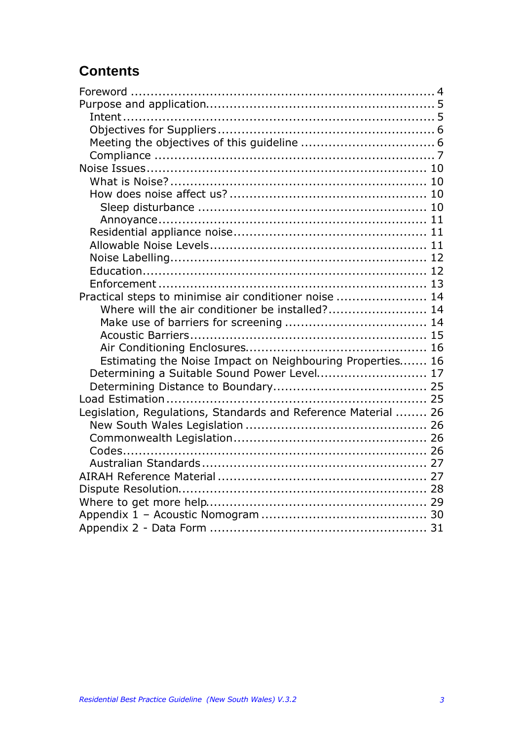### **Contents**

| Practical steps to minimise air conditioner noise  14          |  |
|----------------------------------------------------------------|--|
| Where will the air conditioner be installed? 14                |  |
|                                                                |  |
|                                                                |  |
|                                                                |  |
| Estimating the Noise Impact on Neighbouring Properties 16      |  |
| Determining a Suitable Sound Power Level 17                    |  |
|                                                                |  |
|                                                                |  |
| Legislation, Regulations, Standards and Reference Material  26 |  |
|                                                                |  |
|                                                                |  |
|                                                                |  |
|                                                                |  |
|                                                                |  |
|                                                                |  |
|                                                                |  |
|                                                                |  |
|                                                                |  |
|                                                                |  |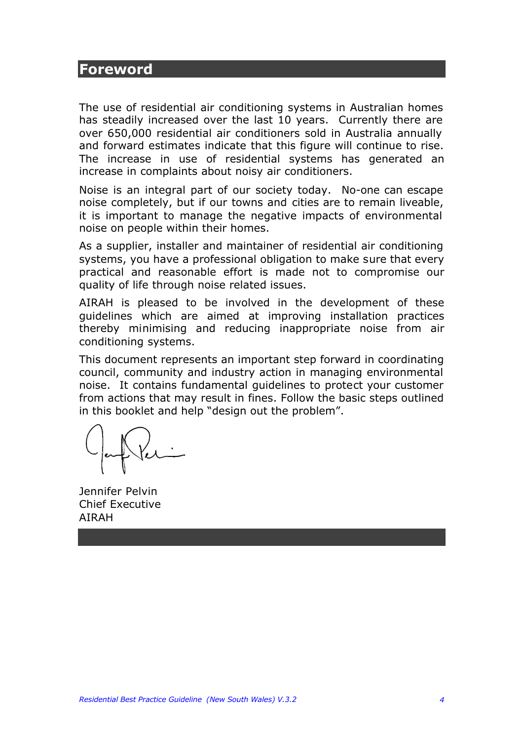### **Foreword**

The use of residential air conditioning systems in Australian homes has steadily increased over the last 10 years. Currently there are over 650,000 residential air conditioners sold in Australia annually and forward estimates indicate that this figure will continue to rise. The increase in use of residential systems has generated an increase in complaints about noisy air conditioners.

Noise is an integral part of our society today. No-one can escape noise completely, but if our towns and cities are to remain liveable, it is important to manage the negative impacts of environmental noise on people within their homes.

As a supplier, installer and maintainer of residential air conditioning systems, you have a professional obligation to make sure that every practical and reasonable effort is made not to compromise our quality of life through noise related issues.

AIRAH is pleased to be involved in the development of these guidelines which are aimed at improving installation practices thereby minimising and reducing inappropriate noise from air conditioning systems.

This document represents an important step forward in coordinating council, community and industry action in managing environmental noise. It contains fundamental guidelines to protect your customer from actions that may result in fines. Follow the basic steps outlined in this booklet and help "design out the problem".

Jennifer Pelvin Chief Executive AIRAH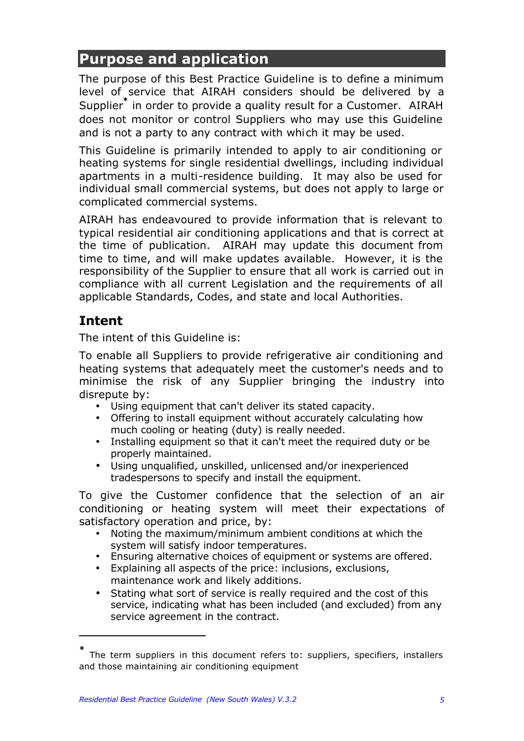## **Purpose and application**

The purpose of this Best Practice Guideline is to define a minimum level of service that AIRAH considers should be delivered by a Supplier**\*** in order to provide a quality result for a Customer. AIRAH does not monitor or control Suppliers who may use this Guideline and is not a party to any contract with which it may be used.

This Guideline is primarily intended to apply to air conditioning or heating systems for single residential dwellings, including individual apartments in a multi-residence building. It may also be used for individual small commercial systems, but does not apply to large or complicated commercial systems.

AIRAH has endeavoured to provide information that is relevant to typical residential air conditioning applications and that is correct at the time of publication. AIRAH may update this document from time to time, and will make updates available. However, it is the responsibility of the Supplier to ensure that all work is carried out in compliance with all current Legislation and the requirements of all applicable Standards, Codes, and state and local Authorities.

### **Intent**

 $\overline{a}$ 

The intent of this Guideline is:

To enable all Suppliers to provide refrigerative air conditioning and heating systems that adequately meet the customer's needs and to minimise the risk of any Supplier bringing the industry into disrepute by:

- Using equipment that can't deliver its stated capacity.
- Offering to install equipment without accurately calculating how much cooling or heating (duty) is really needed.
- Installing equipment so that it can't meet the required duty or be properly maintained.
- Using unqualified, unskilled, unlicensed and/or inexperienced tradespersons to specify and install the equipment.

To give the Customer confidence that the selection of an air conditioning or heating system will meet their expectations of satisfactory operation and price, by:

- Noting the maximum/minimum ambient conditions at which the system will satisfy indoor temperatures.
- Ensuring alternative choices of equipment or systems are offered.
- Explaining all aspects of the price: inclusions, exclusions, maintenance work and likely additions.
- Stating what sort of service is really required and the cost of this service, indicating what has been included (and excluded) from any service agreement in the contract.

**<sup>\*</sup>** The term suppliers in this document refers to: suppliers, specifiers, installers and those maintaining air conditioning equipment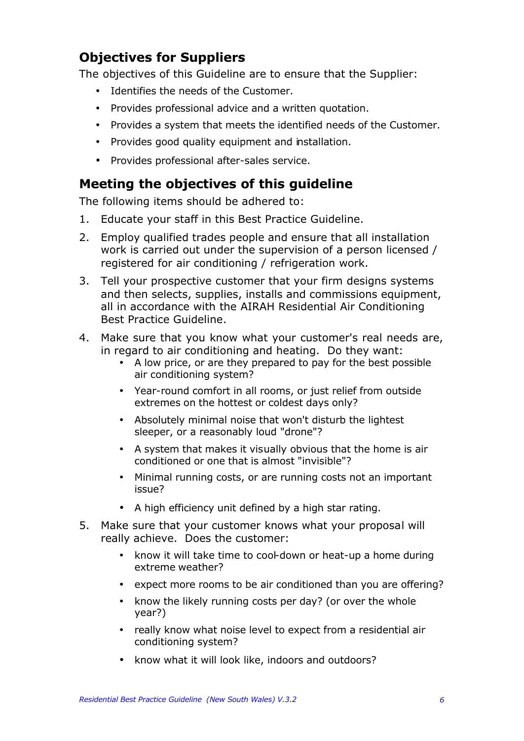### **Objectives for Suppliers**

The objectives of this Guideline are to ensure that the Supplier:

- Identifies the needs of the Customer.
- Provides professional advice and a written quotation.
- Provides a system that meets the identified needs of the Customer.
- Provides good quality equipment and installation.
- Provides professional after-sales service.

### **Meeting the objectives of this guideline**

The following items should be adhered to:

- 1. Educate your staff in this Best Practice Guideline.
- 2. Employ qualified trades people and ensure that all installation work is carried out under the supervision of a person licensed / registered for air conditioning / refrigeration work.
- 3. Tell your prospective customer that your firm designs systems and then selects, supplies, installs and commissions equipment, all in accordance with the AIRAH Residential Air Conditioning Best Practice Guideline.
- 4. Make sure that you know what your customer's real needs are, in regard to air conditioning and heating. Do they want:
	- A low price, or are they prepared to pay for the best possible air conditioning system?
	- Year-round comfort in all rooms, or just relief from outside extremes on the hottest or coldest days only?
	- Absolutely minimal noise that won't disturb the lightest sleeper, or a reasonably loud "drone"?
	- A system that makes it visually obvious that the home is air conditioned or one that is almost "invisible"?
	- Minimal running costs, or are running costs not an important issue?
	- A high efficiency unit defined by a high star rating.
- 5. Make sure that your customer knows what your proposal will really achieve. Does the customer:
	- know it will take time to cool-down or heat-up a home during extreme weather?
	- expect more rooms to be air conditioned than you are offering?
	- know the likely running costs per day? (or over the whole year?)
	- really know what noise level to expect from a residential air conditioning system?
	- know what it will look like, indoors and outdoors?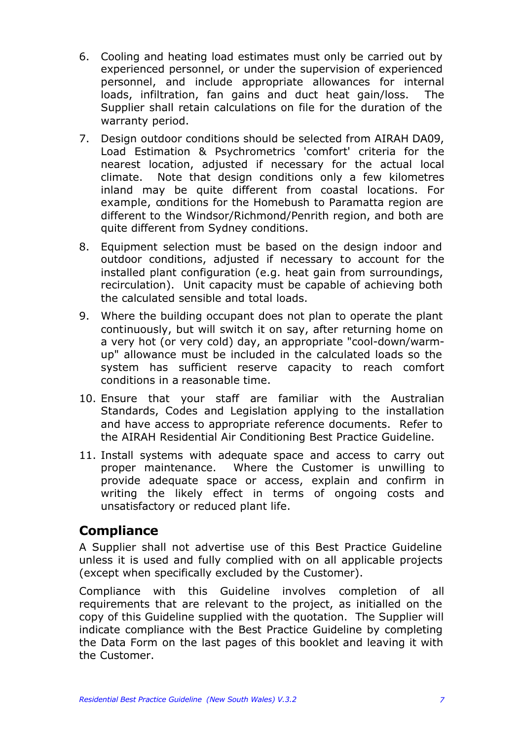- 6. Cooling and heating load estimates must only be carried out by experienced personnel, or under the supervision of experienced personnel, and include appropriate allowances for internal loads, infiltration, fan gains and duct heat gain/loss. The Supplier shall retain calculations on file for the duration of the warranty period.
- 7. Design outdoor conditions should be selected from AIRAH DA09, Load Estimation & Psychrometrics 'comfort' criteria for the nearest location, adjusted if necessary for the actual local climate. Note that design conditions only a few kilometres inland may be quite different from coastal locations. For example, conditions for the Homebush to Paramatta region are different to the Windsor/Richmond/Penrith region, and both are quite different from Sydney conditions.
- 8. Equipment selection must be based on the design indoor and outdoor conditions, adjusted if necessary to account for the installed plant configuration (e.g. heat gain from surroundings, recirculation). Unit capacity must be capable of achieving both the calculated sensible and total loads.
- 9. Where the building occupant does not plan to operate the plant continuously, but will switch it on say, after returning home on a very hot (or very cold) day, an appropriate "cool-down/warmup" allowance must be included in the calculated loads so the system has sufficient reserve capacity to reach comfort conditions in a reasonable time.
- 10. Ensure that your staff are familiar with the Australian Standards, Codes and Legislation applying to the installation and have access to appropriate reference documents. Refer to the AIRAH Residential Air Conditioning Best Practice Guideline.
- 11. Install systems with adequate space and access to carry out proper maintenance. Where the Customer is unwilling to provide adequate space or access, explain and confirm in writing the likely effect in terms of ongoing costs and unsatisfactory or reduced plant life.

### **Compliance**

A Supplier shall not advertise use of this Best Practice Guideline unless it is used and fully complied with on all applicable projects (except when specifically excluded by the Customer).

Compliance with this Guideline involves completion of all requirements that are relevant to the project, as initialled on the copy of this Guideline supplied with the quotation. The Supplier will indicate compliance with the Best Practice Guideline by completing the Data Form on the last pages of this booklet and leaving it with the Customer.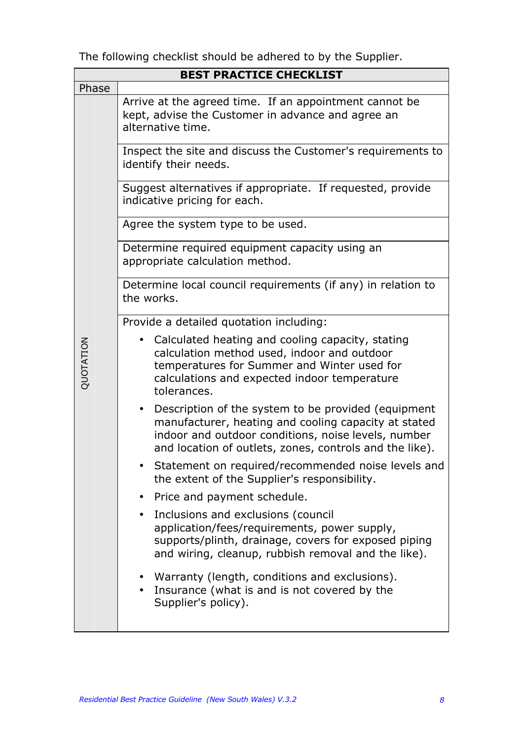The following checklist should be adhered to by the Supplier.

| <b>BEST PRACTICE CHECKLIST</b> |                                                                                                                                                                                                                                 |  |  |  |  |  |  |  |
|--------------------------------|---------------------------------------------------------------------------------------------------------------------------------------------------------------------------------------------------------------------------------|--|--|--|--|--|--|--|
| Phase                          |                                                                                                                                                                                                                                 |  |  |  |  |  |  |  |
|                                | Arrive at the agreed time. If an appointment cannot be<br>kept, advise the Customer in advance and agree an<br>alternative time.                                                                                                |  |  |  |  |  |  |  |
|                                | Inspect the site and discuss the Customer's requirements to<br>identify their needs.                                                                                                                                            |  |  |  |  |  |  |  |
|                                | Suggest alternatives if appropriate. If requested, provide<br>indicative pricing for each.                                                                                                                                      |  |  |  |  |  |  |  |
|                                | Agree the system type to be used.                                                                                                                                                                                               |  |  |  |  |  |  |  |
|                                | Determine required equipment capacity using an<br>appropriate calculation method.                                                                                                                                               |  |  |  |  |  |  |  |
|                                | Determine local council requirements (if any) in relation to<br>the works.                                                                                                                                                      |  |  |  |  |  |  |  |
|                                | Provide a detailed quotation including:                                                                                                                                                                                         |  |  |  |  |  |  |  |
| QUOTATION                      | Calculated heating and cooling capacity, stating<br>calculation method used, indoor and outdoor<br>temperatures for Summer and Winter used for<br>calculations and expected indoor temperature<br>tolerances.                   |  |  |  |  |  |  |  |
|                                | • Description of the system to be provided (equipment<br>manufacturer, heating and cooling capacity at stated<br>indoor and outdoor conditions, noise levels, number<br>and location of outlets, zones, controls and the like). |  |  |  |  |  |  |  |
|                                | Statement on required/recommended noise levels and<br>the extent of the Supplier's responsibility.                                                                                                                              |  |  |  |  |  |  |  |
|                                | Price and payment schedule.                                                                                                                                                                                                     |  |  |  |  |  |  |  |
|                                | Inclusions and exclusions (council<br>application/fees/requirements, power supply,<br>supports/plinth, drainage, covers for exposed piping<br>and wiring, cleanup, rubbish removal and the like).                               |  |  |  |  |  |  |  |
|                                | Warranty (length, conditions and exclusions).<br>Insurance (what is and is not covered by the<br>Supplier's policy).                                                                                                            |  |  |  |  |  |  |  |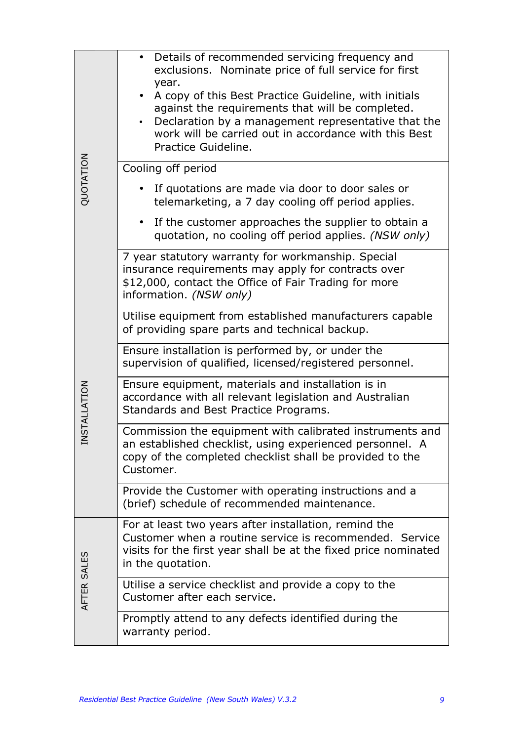|             | • Details of recommended servicing frequency and<br>exclusions. Nominate price of full service for first<br>year.<br>A copy of this Best Practice Guideline, with initials<br>against the requirements that will be completed.<br>Declaration by a management representative that the<br>work will be carried out in accordance with this Best<br>Practice Guideline. |  |  |  |  |  |  |
|-------------|-----------------------------------------------------------------------------------------------------------------------------------------------------------------------------------------------------------------------------------------------------------------------------------------------------------------------------------------------------------------------|--|--|--|--|--|--|
|             | Cooling off period                                                                                                                                                                                                                                                                                                                                                    |  |  |  |  |  |  |
| QUOTATION   | If quotations are made via door to door sales or<br>telemarketing, a 7 day cooling off period applies.                                                                                                                                                                                                                                                                |  |  |  |  |  |  |
|             | If the customer approaches the supplier to obtain a<br>quotation, no cooling off period applies. (NSW only)                                                                                                                                                                                                                                                           |  |  |  |  |  |  |
|             | 7 year statutory warranty for workmanship. Special<br>insurance requirements may apply for contracts over<br>\$12,000, contact the Office of Fair Trading for more<br>information. (NSW only)                                                                                                                                                                         |  |  |  |  |  |  |
|             | Utilise equipment from established manufacturers capable<br>of providing spare parts and technical backup.                                                                                                                                                                                                                                                            |  |  |  |  |  |  |
|             | Ensure installation is performed by, or under the<br>supervision of qualified, licensed/registered personnel.                                                                                                                                                                                                                                                         |  |  |  |  |  |  |
| NSTALLATION | Ensure equipment, materials and installation is in<br>accordance with all relevant legislation and Australian<br>Standards and Best Practice Programs.                                                                                                                                                                                                                |  |  |  |  |  |  |
|             | Commission the equipment with calibrated instruments and<br>an established checklist, using experienced personnel. A<br>copy of the completed checklist shall be provided to the<br>Customer.                                                                                                                                                                         |  |  |  |  |  |  |
|             | Provide the Customer with operating instructions and a<br>(brief) schedule of recommended maintenance.                                                                                                                                                                                                                                                                |  |  |  |  |  |  |
|             | For at least two years after installation, remind the<br>Customer when a routine service is recommended. Service<br>visits for the first year shall be at the fixed price nominated<br>in the quotation.                                                                                                                                                              |  |  |  |  |  |  |
| AFTER SALES | Utilise a service checklist and provide a copy to the<br>Customer after each service.                                                                                                                                                                                                                                                                                 |  |  |  |  |  |  |
|             | Promptly attend to any defects identified during the<br>warranty period.                                                                                                                                                                                                                                                                                              |  |  |  |  |  |  |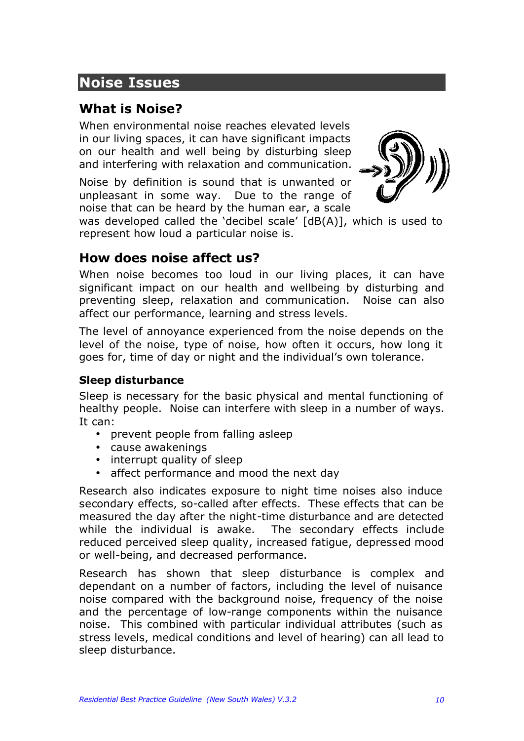### **Noise Issues**

### **What is Noise?**

When environmental noise reaches elevated levels in our living spaces, it can have significant impacts on our health and well being by disturbing sleep and interfering with relaxation and communication.

Noise by definition is sound that is unwanted or unpleasant in some way. Due to the range of noise that can be heard by the human ear, a scale



was developed called the 'decibel scale' [dB(A)], which is used to represent how loud a particular noise is.

### **How does noise affect us?**

When noise becomes too loud in our living places, it can have significant impact on our health and wellbeing by disturbing and preventing sleep, relaxation and communication. Noise can also affect our performance, learning and stress levels.

The level of annoyance experienced from the noise depends on the level of the noise, type of noise, how often it occurs, how long it goes for, time of day or night and the individual's own tolerance.

#### **Sleep disturbance**

Sleep is necessary for the basic physical and mental functioning of healthy people. Noise can interfere with sleep in a number of ways. It can:

- prevent people from falling asleep
- cause awakenings
- interrupt quality of sleep
- affect performance and mood the next day

Research also indicates exposure to night time noises also induce secondary effects, so-called after effects. These effects that can be measured the day after the night-time disturbance and are detected while the individual is awake. The secondary effects include reduced perceived sleep quality, increased fatigue, depressed mood or well-being, and decreased performance.

Research has shown that sleep disturbance is complex and dependant on a number of factors, including the level of nuisance noise compared with the background noise, frequency of the noise and the percentage of low-range components within the nuisance noise. This combined with particular individual attributes (such as stress levels, medical conditions and level of hearing) can all lead to sleep disturbance.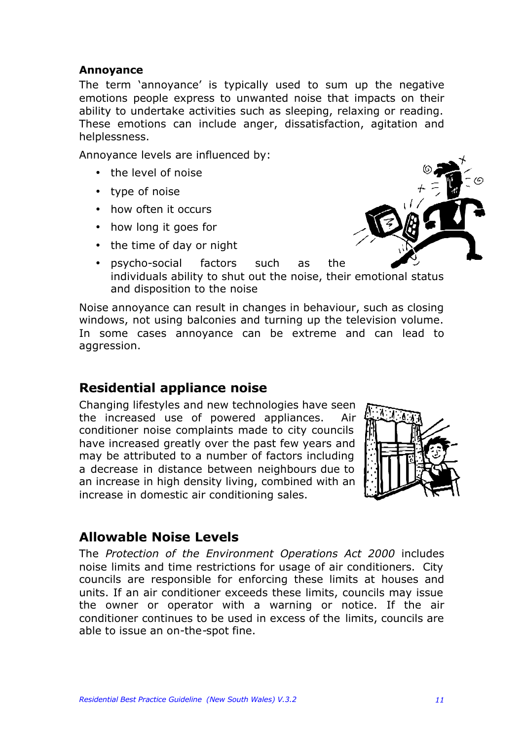#### **Annoyance**

The term 'annoyance' is typically used to sum up the negative emotions people express to unwanted noise that impacts on their ability to undertake activities such as sleeping, relaxing or reading. These emotions can include anger, dissatisfaction, agitation and helplessness.

Annoyance levels are influenced by:

- the level of noise
- type of noise
- how often it occurs
- how long it goes for
- the time of day or night



• psycho-social factors such as the individuals ability to shut out the noise, their emotional status and disposition to the noise

Noise annoyance can result in changes in behaviour, such as closing windows, not using balconies and turning up the television volume. In some cases annoyance can be extreme and can lead to aggression.

### **Residential appliance noise**

Changing lifestyles and new technologies have seen the increased use of powered appliances. Air conditioner noise complaints made to city councils have increased greatly over the past few years and may be attributed to a number of factors including a decrease in distance between neighbours due to an increase in high density living, combined with an increase in domestic air conditioning sales.



### **Allowable Noise Levels**

The *Protection of the Environment Operations Act 2000* includes noise limits and time restrictions for usage of air conditioners. City councils are responsible for enforcing these limits at houses and units. If an air conditioner exceeds these limits, councils may issue the owner or operator with a warning or notice. If the air conditioner continues to be used in excess of the limits, councils are able to issue an on-the-spot fine.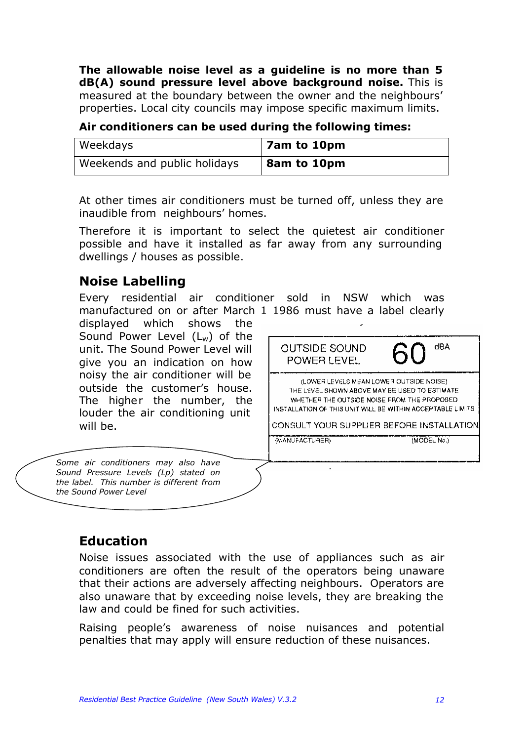**The allowable noise level as a guideline is no more than 5 dB(A) sound pressure level above background noise.** This is measured at the boundary between the owner and the neighbours' properties. Local city councils may impose specific maximum limits.

**Air conditioners can be used during the following times:**

| Weekdays                     | 7am to 10pm |
|------------------------------|-------------|
| Weekends and public holidays | 8am to 10pm |

At other times air conditioners must be turned off, unless they are inaudible from neighbours' homes.

Therefore it is important to select the quietest air conditioner possible and have it installed as far away from any surrounding dwellings / houses as possible.

### **Noise Labelling**

Every residential air conditioner sold in NSW which was manufactured on or after March 1 1986 must have a label clearly

displayed which shows the Sound Power Level (Lw) of the unit. The Sound Power Level will give you an indication on how noisy the air conditioner will be outside the customer's house. The higher the number, the louder the air conditioning unit will be.

*Some air conditioners may also have Sound Pressure Levels (Lp) stated on the label. This number is different from the Sound Power Level*



### **Education**

Noise issues associated with the use of appliances such as air conditioners are often the result of the operators being unaware that their actions are adversely affecting neighbours. Operators are also unaware that by exceeding noise levels, they are breaking the law and could be fined for such activities.

Raising people's awareness of noise nuisances and potential penalties that may apply will ensure reduction of these nuisances.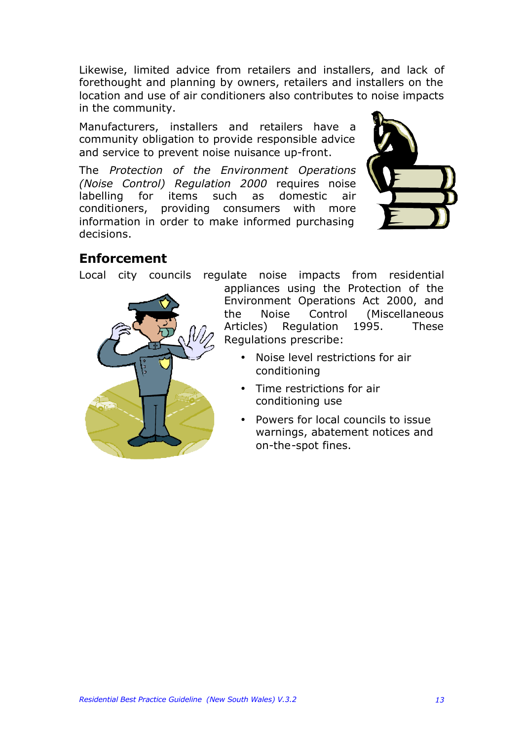Likewise, limited advice from retailers and installers, and lack of forethought and planning by owners, retailers and installers on the location and use of air conditioners also contributes to noise impacts in the community.

Manufacturers, installers and retailers have a community obligation to provide responsible advice and service to prevent noise nuisance up-front.

The *Protection of the Environment Operations (Noise Control) Regulation 2000* requires noise labelling for items such as domestic air conditioners, providing consumers with more information in order to make informed purchasing decisions.



### **Enforcement**

Local city councils regulate noise impacts from residential



appliances using the Protection of the Environment Operations Act 2000, and the Noise Control (Miscellaneous Articles) Regulation 1995. These Regulations prescribe:

- Noise level restrictions for air conditioning
- Time restrictions for air conditioning use
- Powers for local councils to issue warnings, abatement notices and on-the-spot fines.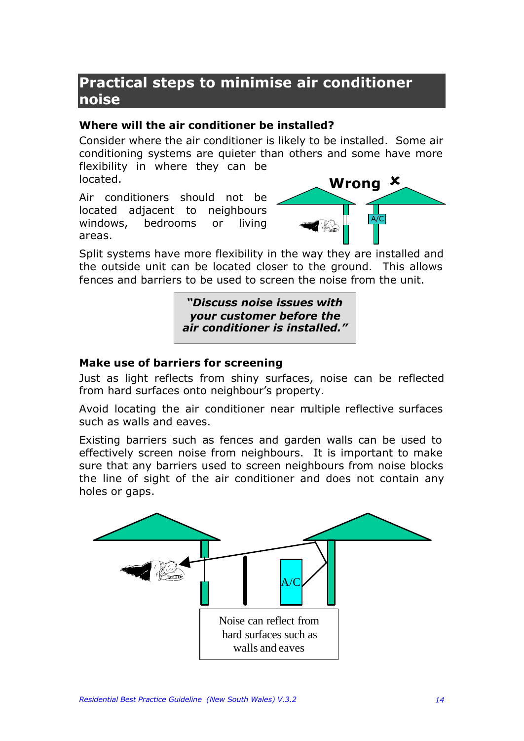### **Practical steps to minimise air conditioner noise**

#### **Where will the air conditioner be installed?**

Consider where the air conditioner is likely to be installed. Some air conditioning systems are quieter than others and some have more flexibility in where they can be located.

Air conditioners should not be located adjacent to neighbours windows, bedrooms or living areas.



Split systems have more flexibility in the way they are installed and the outside unit can be located closer to the ground. This allows fences and barriers to be used to screen the noise from the unit.

> *"Discuss noise issues with your customer before the air conditioner is installed."*

#### **Make use of barriers for screening**

Just as light reflects from shiny surfaces, noise can be reflected from hard surfaces onto neighbour's property.

Avoid locating the air conditioner near multiple reflective surfaces such as walls and eaves.

Existing barriers such as fences and garden walls can be used to effectively screen noise from neighbours. It is important to make sure that any barriers used to screen neighbours from noise blocks the line of sight of the air conditioner and does not contain any holes or gaps.

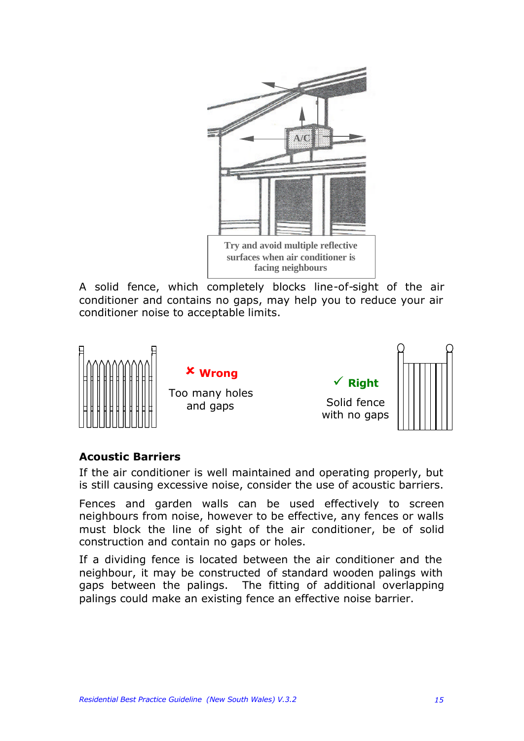

A solid fence, which completely blocks line-of-sight of the air conditioner and contains no gaps, may help you to reduce your air conditioner noise to acceptable limits.



#### **Acoustic Barriers**

If the air conditioner is well maintained and operating properly, but is still causing excessive noise, consider the use of acoustic barriers.

Fences and garden walls can be used effectively to screen neighbours from noise, however to be effective, any fences or walls must block the line of sight of the air conditioner, be of solid construction and contain no gaps or holes.

If a dividing fence is located between the air conditioner and the neighbour, it may be constructed of standard wooden palings with gaps between the palings. The fitting of additional overlapping palings could make an existing fence an effective noise barrier.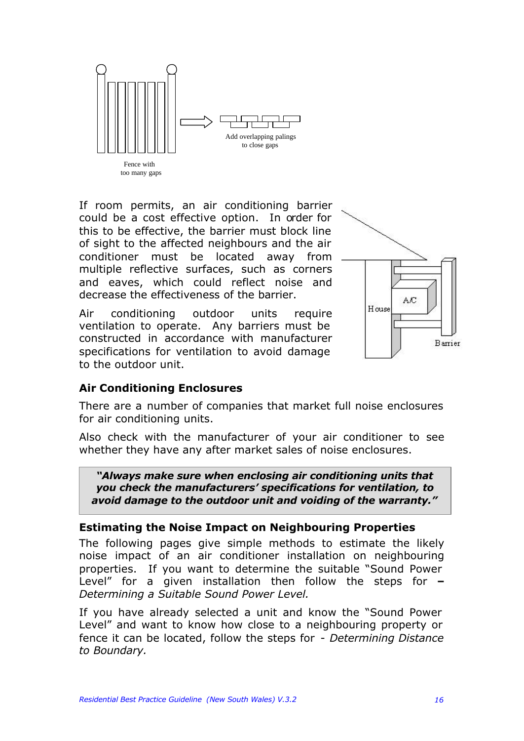

If room permits, an air conditioning barrier could be a cost effective option. In order for this to be effective, the barrier must block line of sight to the affected neighbours and the air conditioner must be located away from multiple reflective surfaces, such as corners and eaves, which could reflect noise and decrease the effectiveness of the barrier.

Air conditioning outdoor units require ventilation to operate. Any barriers must be constructed in accordance with manufacturer specifications for ventilation to avoid damage to the outdoor unit.



#### **Air Conditioning Enclosures**

There are a number of companies that market full noise enclosures for air conditioning units.

Also check with the manufacturer of your air conditioner to see whether they have any after market sales of noise enclosures.

*"Always make sure when enclosing air conditioning units that you check the manufacturers' specifications for ventilation, to avoid damage to the outdoor unit and voiding of the warranty."*

#### **Estimating the Noise Impact on Neighbouring Properties**

The following pages give simple methods to estimate the likely noise impact of an air conditioner installation on neighbouring properties. If you want to determine the suitable "Sound Power Level" for a given installation then follow the steps for **–** *Determining a Suitable Sound Power Level.*

If you have already selected a unit and know the "Sound Power Level" and want to know how close to a neighbouring property or fence it can be located, follow the steps for - *Determining Distance to Boundary.*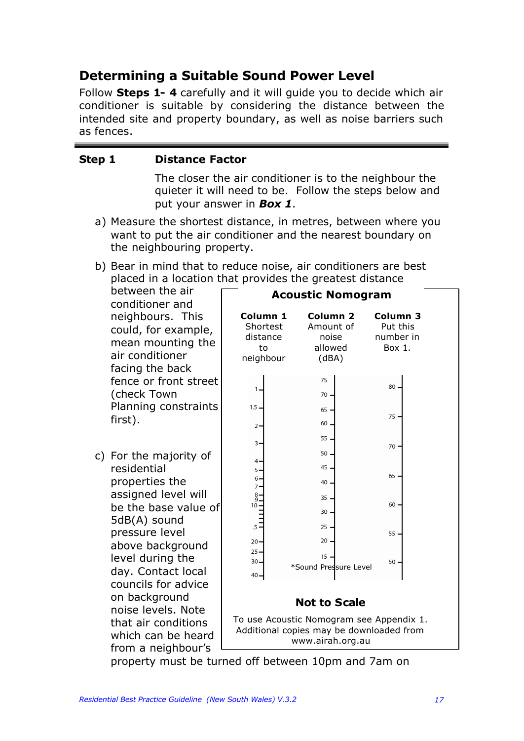### **Determining a Suitable Sound Power Level**

Follow **Steps 1- 4** carefully and it will guide you to decide which air conditioner is suitable by considering the distance between the intended site and property boundary, as well as noise barriers such as fences.

#### **Step 1 Distance Factor**

The closer the air conditioner is to the neighbour the quieter it will need to be. Follow the steps below and put your answer in *Box 1*.

a) Measure the shortest distance, in metres, between where you want to put the air conditioner and the nearest boundary on the neighbouring property.

#### b) Bear in mind that to reduce noise, air conditioners are best placed in a location that provides the greatest distance

| between the air<br>conditioner and                                                                     |                                                     | <b>Acoustic Nomogram</b>                                                                                                        |                                                        |  |  |  |  |
|--------------------------------------------------------------------------------------------------------|-----------------------------------------------------|---------------------------------------------------------------------------------------------------------------------------------|--------------------------------------------------------|--|--|--|--|
| neighbours. This<br>could, for example,<br>mean mounting the<br>air conditioner<br>facing the back     | Column 1<br>Shortest<br>distance<br>to<br>neighbour | Column <sub>2</sub><br>Amount of<br>noise<br>allowed<br>(dBA)                                                                   | Column <sub>3</sub><br>Put this<br>number in<br>Box 1. |  |  |  |  |
| fence or front street<br>(check Town<br>Planning constraints                                           | 1-<br>$1.5 -$                                       | 75<br>70.<br>65                                                                                                                 | 80                                                     |  |  |  |  |
| first).                                                                                                | $2 -$<br>$3-$                                       | 60<br>55                                                                                                                        | $75 -$<br>$70 -$                                       |  |  |  |  |
| c) For the majority of<br>residential<br>properties the                                                | 4.<br>5.<br>6-<br>7.                                | 50.<br>45<br>40 .                                                                                                               | 65 -                                                   |  |  |  |  |
| assigned level will<br>be the base value of<br>5dB(A) sound                                            | $\frac{8}{9}$<br>$10 -$                             | 35 <sub>1</sub><br>30.                                                                                                          | 60                                                     |  |  |  |  |
| pressure level<br>above background<br>level during the                                                 | $.5 -$<br>$20 -$<br>$25 -$                          | 25.<br>$20$ .<br>15                                                                                                             | 55.                                                    |  |  |  |  |
| day. Contact local<br>councils for advice                                                              | $30 -$<br>$40-$                                     | *Sound Pressure Level                                                                                                           | $50 -$                                                 |  |  |  |  |
| on background<br>noise levels. Note<br>that air conditions<br>which can be heard<br>from a neighbour's |                                                     | <b>Not to Scale</b><br>To use Acoustic Nomogram see Appendix 1.<br>Additional copies may be downloaded from<br>www.airah.org.au |                                                        |  |  |  |  |

property must be turned off between 10pm and 7am on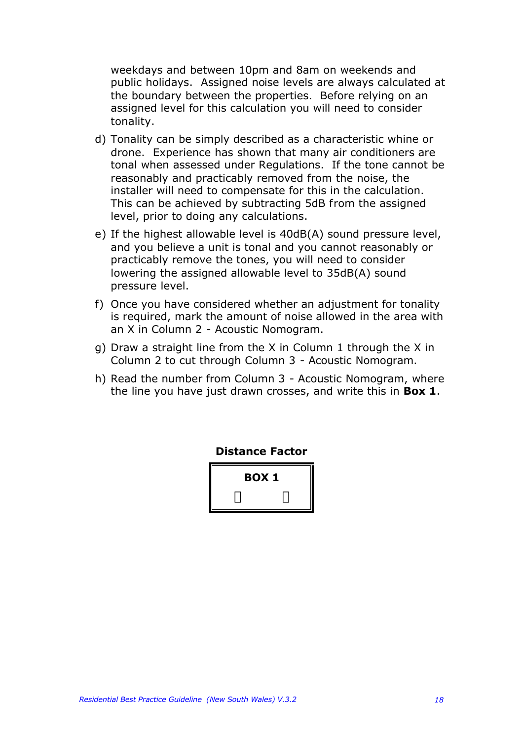weekdays and between 10pm and 8am on weekends and public holidays. Assigned noise levels are always calculated at the boundary between the properties. Before relying on an assigned level for this calculation you will need to consider tonality.

- d) Tonality can be simply described as a characteristic whine or drone. Experience has shown that many air conditioners are tonal when assessed under Regulations. If the tone cannot be reasonably and practicably removed from the noise, the installer will need to compensate for this in the calculation. This can be achieved by subtracting 5dB from the assigned level, prior to doing any calculations.
- e) If the highest allowable level is 40dB(A) sound pressure level, and you believe a unit is tonal and you cannot reasonably or practicably remove the tones, you will need to consider lowering the assigned allowable level to 35dB(A) sound pressure level.
- f) Once you have considered whether an adjustment for tonality is required, mark the amount of noise allowed in the area with an X in Column 2 - Acoustic Nomogram.
- g) Draw a straight line from the X in Column 1 through the X in Column 2 to cut through Column 3 - Acoustic Nomogram.
- h) Read the number from Column 3 Acoustic Nomogram, where the line you have just drawn crosses, and write this in **Box 1**.



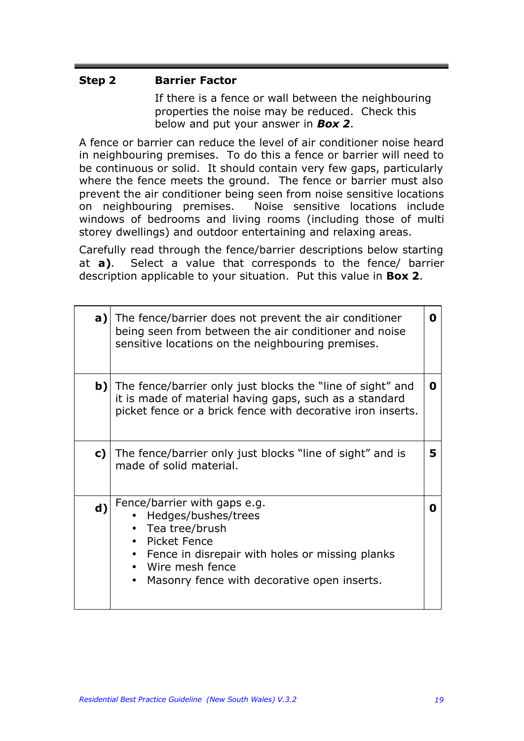#### **Step 2 Barrier Factor**

If there is a fence or wall between the neighbouring properties the noise may be reduced. Check this below and put your answer in *Box 2*.

A fence or barrier can reduce the level of air conditioner noise heard in neighbouring premises. To do this a fence or barrier will need to be continuous or solid. It should contain very few gaps, particularly where the fence meets the ground. The fence or barrier must also prevent the air conditioner being seen from noise sensitive locations on neighbouring premises. Noise sensitive locations include windows of bedrooms and living rooms (including those of multi storey dwellings) and outdoor entertaining and relaxing areas.

Carefully read through the fence/barrier descriptions below starting at **a)**. Select a value that corresponds to the fence/ barrier description applicable to your situation. Put this value in **Box 2**.

| a)          | The fence/barrier does not prevent the air conditioner<br>O<br>being seen from between the air conditioner and noise<br>sensitive locations on the neighbouring premises.                                    |   |  |  |  |  |  |  |  |  |
|-------------|--------------------------------------------------------------------------------------------------------------------------------------------------------------------------------------------------------------|---|--|--|--|--|--|--|--|--|
| b)          | The fence/barrier only just blocks the "line of sight" and<br>O<br>it is made of material having gaps, such as a standard<br>picket fence or a brick fence with decorative iron inserts.                     |   |  |  |  |  |  |  |  |  |
| c)          | The fence/barrier only just blocks "line of sight" and is<br>made of solid material.                                                                                                                         | 5 |  |  |  |  |  |  |  |  |
| $\mathbf d$ | Fence/barrier with gaps e.g.<br>Hedges/bushes/trees<br>• Tea tree/brush<br>Picket Fence<br>Fence in disrepair with holes or missing planks<br>Wire mesh fence<br>Masonry fence with decorative open inserts. | n |  |  |  |  |  |  |  |  |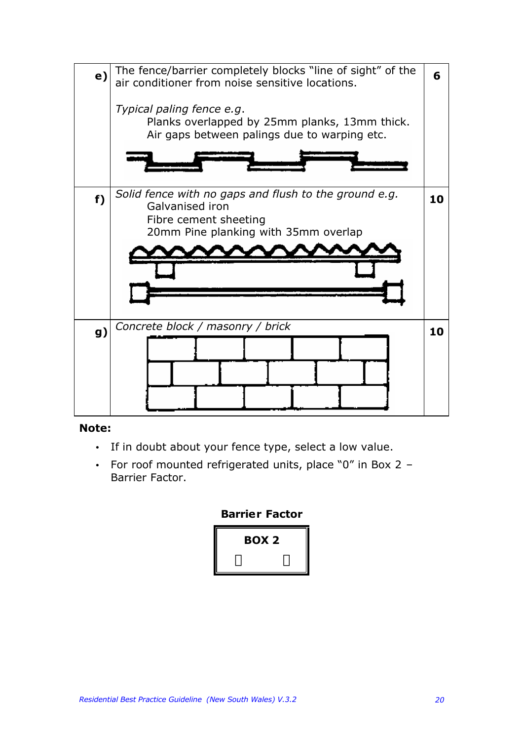

#### **Note:**

- If in doubt about your fence type, select a low value.
- For roof mounted refrigerated units, place "0" in Box 2 Barrier Factor.

#### **Barrier Factor**

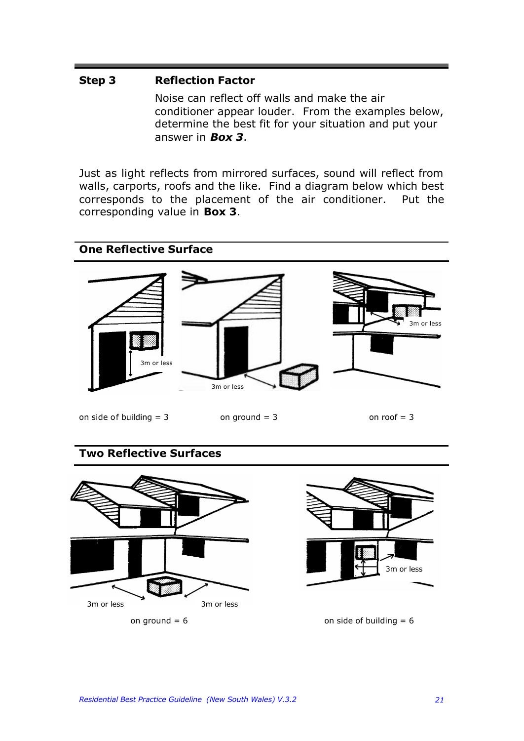#### **Step 3 Reflection Factor**

Noise can reflect off walls and make the air conditioner appear louder. From the examples below, determine the best fit for your situation and put your answer in *Box 3*.

Just as light reflects from mirrored surfaces, sound will reflect from walls, carports, roofs and the like. Find a diagram below which best corresponds to the placement of the air conditioner. Put the corresponding value in **Box 3**.



#### **Two Reflective Surfaces**





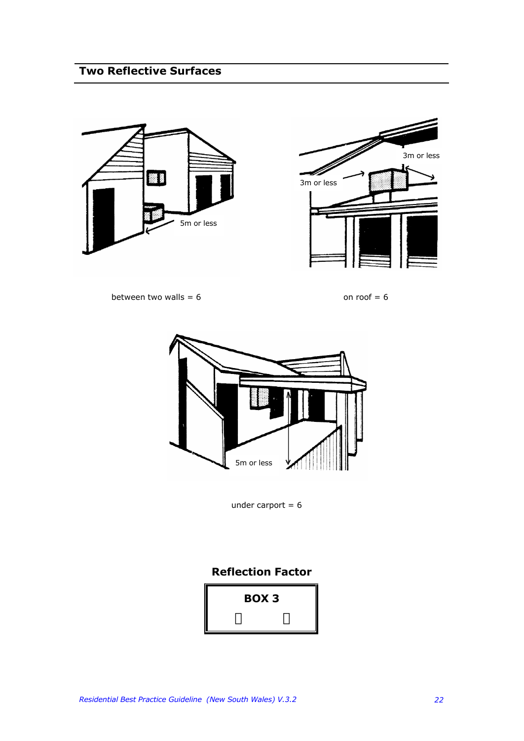### **Two Reflective Surfaces**





between two walls =  $6$  on roof =  $6$ 



under carport  $= 6$ 

#### **Reflection Factor**

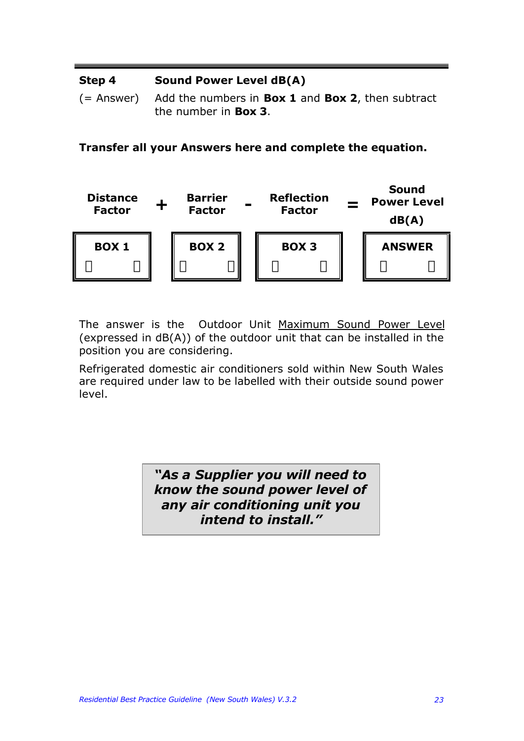#### **Step 4 Sound Power Level dB(A)**

(= Answer) Add the numbers in **Box 1** and **Box 2**, then subtract the number in **Box 3**.

**Transfer all your Answers here and complete the equation.**



The answer is the Outdoor Unit Maximum Sound Power Level (expressed in dB(A)) of the outdoor unit that can be installed in the position you are considering.

Refrigerated domestic air conditioners sold within New South Wales are required under law to be labelled with their outside sound power level.

> *"As a Supplier you will need to know the sound power level of any air conditioning unit you intend to install."*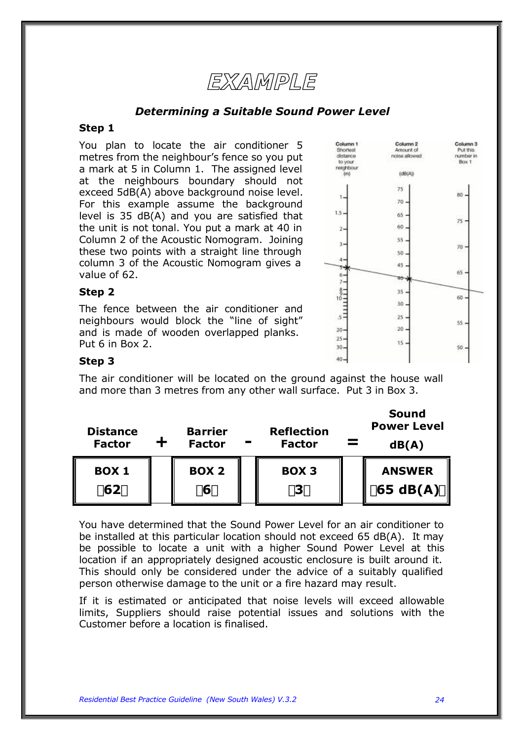EXAMPLE

#### *Determining a Suitable Sound Power Level*

#### **Step 1**

You plan to locate the air conditioner 5 metres from the neighbour's fence so you put a mark at 5 in Column 1. The assigned level at the neighbours boundary should not exceed 5dB(A) above background noise level. For this example assume the background level is 35 dB(A) and you are satisfied that the unit is not tonal. You put a mark at 40 in Column 2 of the Acoustic Nomogram. Joining these two points with a straight line through column 3 of the Acoustic Nomogram gives a value of 62.

#### **Step 2**

The fence between the air conditioner and neighbours would block the "line of sight" and is made of wooden overlapped planks. Put 6 in Box 2.



#### **Step 3**

The air conditioner will be located on the ground against the house wall and more than 3 metres from any other wall surface. Put 3 in Box 3.

| <b>Distance</b><br><b>Factor</b> | <b>Barrier</b><br><b>Factor</b> | <b>Reflection</b><br><b>Factor</b> | <b>Sound</b><br><b>Power Level</b><br>dB(A) |
|----------------------------------|---------------------------------|------------------------------------|---------------------------------------------|
| <b>BOX 1</b><br>162y             | <b>BOX 2</b><br>í 6ý            | <b>BOX 3</b><br>í3ý                | <b>ANSWER</b><br>$165 dB(A)\hat{y}$         |

You have determined that the Sound Power Level for an air conditioner to be installed at this particular location should not exceed 65 dB(A). It may be possible to locate a unit with a higher Sound Power Level at this location if an appropriately designed acoustic enclosure is built around it. This should only be considered under the advice of a suitably qualified person otherwise damage to the unit or a fire hazard may result.

If it is estimated or anticipated that noise levels will exceed allowable limits, Suppliers should raise potential issues and solutions with the Customer before a location is finalised.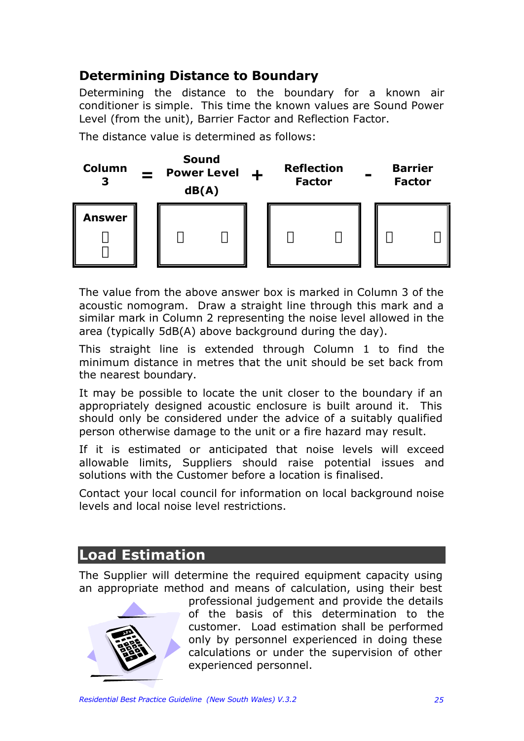### **Determining Distance to Boundary**

Determining the distance to the boundary for a known air conditioner is simple. This time the known values are Sound Power Level (from the unit), Barrier Factor and Reflection Factor.

The distance value is determined as follows:



The value from the above answer box is marked in Column 3 of the acoustic nomogram. Draw a straight line through this mark and a similar mark in Column 2 representing the noise level allowed in the area (typically 5dB(A) above background during the day).

This straight line is extended through Column 1 to find the minimum distance in metres that the unit should be set back from the nearest boundary.

It may be possible to locate the unit closer to the boundary if an appropriately designed acoustic enclosure is built around it. This should only be considered under the advice of a suitably qualified person otherwise damage to the unit or a fire hazard may result.

If it is estimated or anticipated that noise levels will exceed allowable limits, Suppliers should raise potential issues and solutions with the Customer before a location is finalised.

Contact your local council for information on local background noise levels and local noise level restrictions.

## **Load Estimation**

The Supplier will determine the required equipment capacity using an appropriate method and means of calculation, using their best



professional judgement and provide the details of the basis of this determination to the customer. Load estimation shall be performed only by personnel experienced in doing these calculations or under the supervision of other experienced personnel.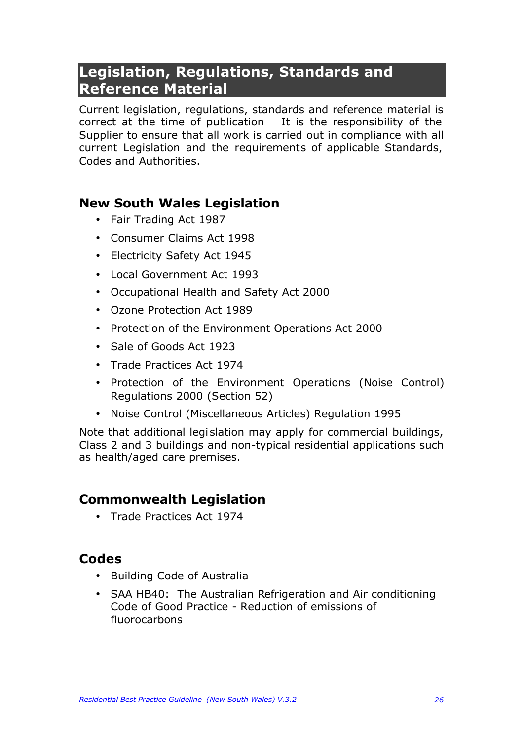## **Legislation, Regulations, Standards and Reference Material**

Current legislation, regulations, standards and reference material is correct at the time of publication It is the responsibility of the Supplier to ensure that all work is carried out in compliance with all current Legislation and the requirements of applicable Standards, Codes and Authorities.

### **New South Wales Legislation**

- Fair Trading Act 1987
- Consumer Claims Act 1998
- Electricity Safety Act 1945
- Local Government Act 1993
- Occupational Health and Safety Act 2000
- Ozone Protection Act 1989
- Protection of the Environment Operations Act 2000
- Sale of Goods Act 1923
- Trade Practices Act 1974
- Protection of the Environment Operations (Noise Control) Regulations 2000 (Section 52)
- Noise Control (Miscellaneous Articles) Regulation 1995

Note that additional legislation may apply for commercial buildings, Class 2 and 3 buildings and non-typical residential applications such as health/aged care premises.

### **Commonwealth Legislation**

• Trade Practices Act 1974

### **Codes**

- Building Code of Australia
- SAA HB40: The Australian Refrigeration and Air conditioning Code of Good Practice - Reduction of emissions of fluorocarbons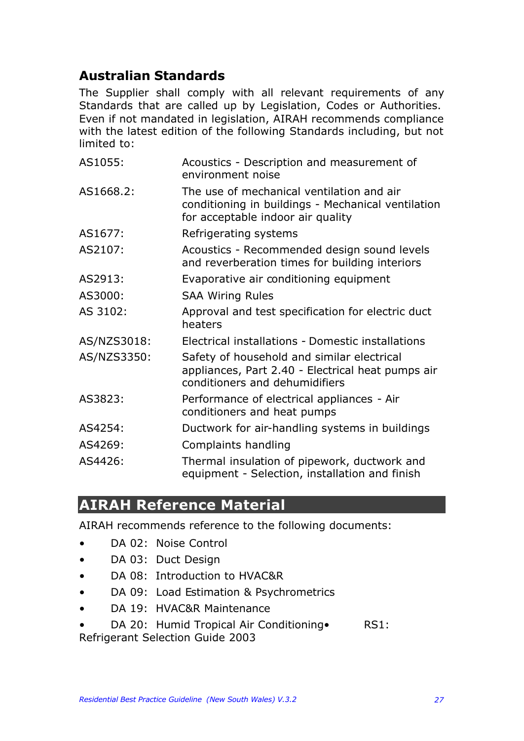### **Australian Standards**

The Supplier shall comply with all relevant requirements of any Standards that are called up by Legislation, Codes or Authorities. Even if not mandated in legislation, AIRAH recommends compliance with the latest edition of the following Standards including, but not limited to:

| AS1055:     | Acoustics - Description and measurement of<br>environment noise                                                                      |
|-------------|--------------------------------------------------------------------------------------------------------------------------------------|
| AS1668.2:   | The use of mechanical ventilation and air<br>conditioning in buildings - Mechanical ventilation<br>for acceptable indoor air quality |
| AS1677:     | Refrigerating systems                                                                                                                |
| AS2107:     | Acoustics - Recommended design sound levels<br>and reverberation times for building interiors                                        |
| AS2913:     | Evaporative air conditioning equipment                                                                                               |
| AS3000:     | <b>SAA Wiring Rules</b>                                                                                                              |
| AS 3102:    | Approval and test specification for electric duct<br>heaters                                                                         |
| AS/NZS3018: | Electrical installations - Domestic installations                                                                                    |
| AS/NZS3350: | Safety of household and similar electrical<br>appliances, Part 2.40 - Electrical heat pumps air<br>conditioners and dehumidifiers    |
| AS3823:     | Performance of electrical appliances - Air<br>conditioners and heat pumps                                                            |
| AS4254:     | Ductwork for air-handling systems in buildings                                                                                       |
| AS4269:     | Complaints handling                                                                                                                  |
| AS4426:     | Thermal insulation of pipework, ductwork and<br>equipment - Selection, installation and finish                                       |

# **AIRAH Reference Material**

AIRAH recommends reference to the following documents:

- DA 02: Noise Control
- DA 03: Duct Design
- DA 08: Introduction to HVAC&R
- DA 09: Load Estimation & Psychrometrics
- DA 19: HVAC&R Maintenance
- DA 20: Humid Tropical Air Conditioning RS1: Refrigerant Selection Guide 2003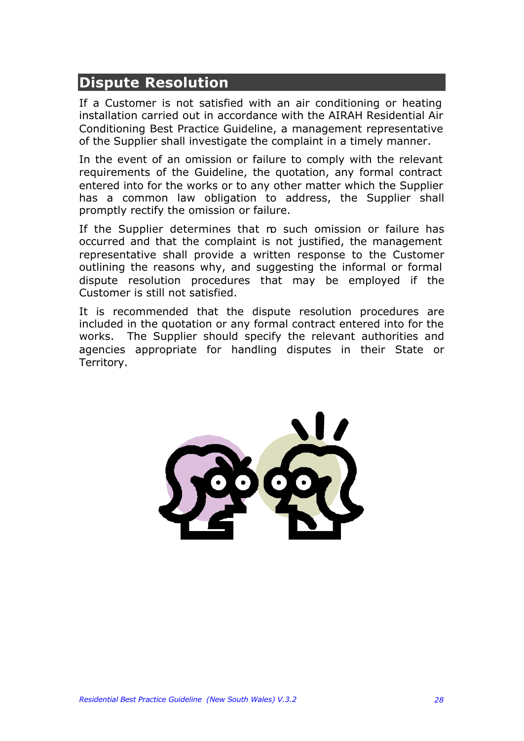### **Dispute Resolution**

If a Customer is not satisfied with an air conditioning or heating installation carried out in accordance with the AIRAH Residential Air Conditioning Best Practice Guideline, a management representative of the Supplier shall investigate the complaint in a timely manner.

In the event of an omission or failure to comply with the relevant requirements of the Guideline, the quotation, any formal contract entered into for the works or to any other matter which the Supplier has a common law obligation to address, the Supplier shall promptly rectify the omission or failure.

If the Supplier determines that m such omission or failure has occurred and that the complaint is not justified, the management representative shall provide a written response to the Customer outlining the reasons why, and suggesting the informal or formal dispute resolution procedures that may be employed if the Customer is still not satisfied.

It is recommended that the dispute resolution procedures are included in the quotation or any formal contract entered into for the works. The Supplier should specify the relevant authorities and agencies appropriate for handling disputes in their State or Territory.

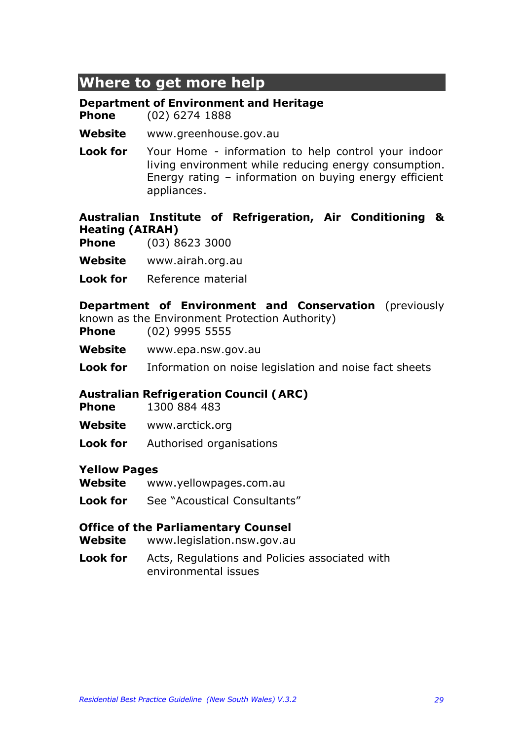### **Where to get more help**

#### **Department of Environment and Heritage**

**Phone** (02) 6274 1888

**Website** www.greenhouse.gov.au

**Look for** Your Home - information to help control your indoor living environment while reducing energy consumption. Energy rating – information on buying energy efficient appliances.

#### **Australian Institute of Refrigeration, Air Conditioning & Heating (AIRAH)**

- **Phone** (03) 8623 3000
- **Website** www.airah.org.au
- **Look for** Reference material

#### **Department of Environment and Conservation** (previously

known as the Environment Protection Authority)

- **Phone** (02) 9995 5555
- **Website** www.epa.nsw.gov.au
- **Look for** Information on noise legislation and noise fact sheets

#### **Australian Refrigeration Council (ARC)**

- **Phone** 1300 884 483
- **Website** www.arctick.org
- **Look for** Authorised organisations

#### **Yellow Pages**

- **Website** www.yellowpages.com.au
- **Look for** See "Acoustical Consultants"

#### **Office of the Parliamentary Counsel**

- **Website** www.legislation.nsw.gov.au
- **Look for** Acts, Regulations and Policies associated with environmental issues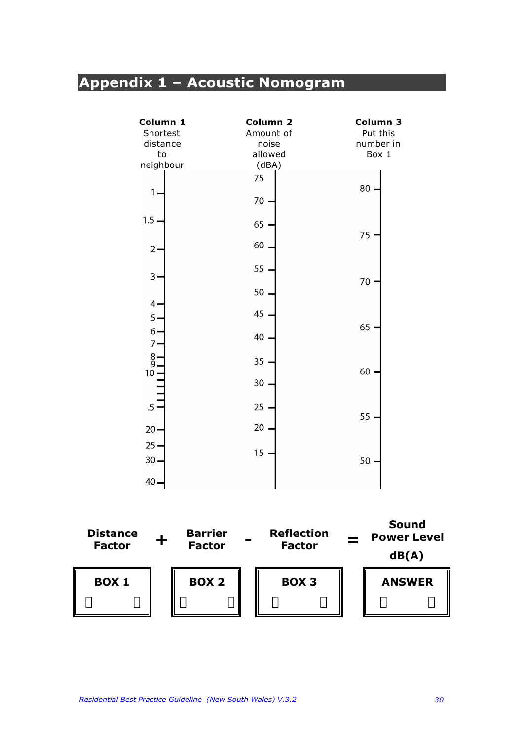# **Appendix 1 – Acoustic Nomogram**

| Column 1<br>Shortest<br>distance<br>to<br>neighbour | Column <sub>2</sub><br>Amount of<br>noise<br>allowed<br>(dBA) | Column 3<br>Put this<br>number in<br>Box 1 |
|-----------------------------------------------------|---------------------------------------------------------------|--------------------------------------------|
| 1                                                   | 75<br>70                                                      | 80                                         |
| 1.5<br>$\overline{2}$                               | 65<br>60                                                      | 75                                         |
| $\overline{3}$                                      | 55<br>50                                                      | 70                                         |
| $\ddot{4}$<br>$5 -$<br>$6-$<br>$7 -$                | 45<br>40                                                      | 65                                         |
| $\frac{8}{9}$<br>$10 \cdot$                         | 35<br>30                                                      | 60                                         |
| $.5\,$<br>$20 -$                                    | 25<br>20                                                      | 55                                         |
| $25 -$<br>$30 -$<br>40.                             | 15                                                            | 50                                         |

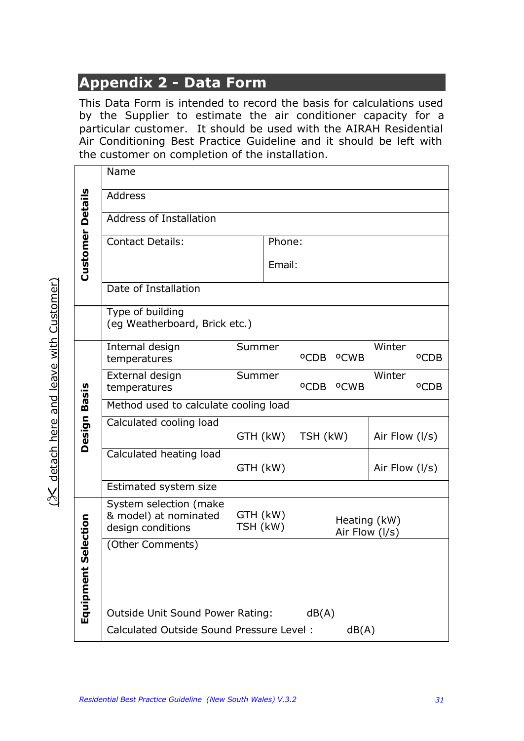### **Appendix 2 - Data Form**

This Data Form is intended to record the basis for calculations used by the Supplier to estimate the air conditioner capacity for a particular customer. It should be used with the AIRAH Residential Air Conditioning Best Practice Guideline and it should be left with the customer on completion of the installation.

|                        |                         | Name                                                                                                                           |          |        |          |                                   |                |                  |  |  |  |
|------------------------|-------------------------|--------------------------------------------------------------------------------------------------------------------------------|----------|--------|----------|-----------------------------------|----------------|------------------|--|--|--|
|                        |                         | <b>Address</b>                                                                                                                 |          |        |          |                                   |                |                  |  |  |  |
|                        |                         | <b>Address of Installation</b>                                                                                                 |          |        |          |                                   |                |                  |  |  |  |
|                        |                         | <b>Contact Details:</b>                                                                                                        |          | Phone: |          |                                   |                |                  |  |  |  |
|                        | <b>Customer Details</b> |                                                                                                                                |          | Email: |          |                                   |                |                  |  |  |  |
|                        |                         | Date of Installation                                                                                                           |          |        |          |                                   |                |                  |  |  |  |
|                        |                         | Type of building<br>(eg Weatherboard, Brick etc.)                                                                              |          |        |          |                                   |                |                  |  |  |  |
|                        |                         | Internal design<br>temperatures                                                                                                | Summer   |        |          | <sup>O</sup> CDB <sup>O</sup> CWB | Winter         | <sup>o</sup> CDB |  |  |  |
|                        |                         | External design<br>Summer<br>temperatures                                                                                      |          |        |          | <sup>O</sup> CDB <sup>O</sup> CWB | Winter         | <sup>o</sup> CDB |  |  |  |
|                        | Basis                   | Method used to calculate cooling load                                                                                          |          |        |          |                                   |                |                  |  |  |  |
|                        | Design                  | Calculated cooling load                                                                                                        | GTH (kW) |        | TSH (kW) |                                   | Air Flow (I/s) |                  |  |  |  |
|                        |                         | Calculated heating load<br>GTH (kW)                                                                                            |          |        |          | Air Flow (I/s)                    |                |                  |  |  |  |
|                        |                         | Estimated system size                                                                                                          |          |        |          |                                   |                |                  |  |  |  |
|                        |                         | System selection (make<br>& model) at nominated<br>GTH (kW)<br>Heating (kW)<br>TSH (kW)<br>design conditions<br>Air Flow (I/s) |          |        |          |                                   |                |                  |  |  |  |
| Selection<br>Equipment |                         | (Other Comments)                                                                                                               |          |        |          |                                   |                |                  |  |  |  |
|                        |                         | Outside Unit Sound Power Rating:                                                                                               |          |        | dB(A)    |                                   |                |                  |  |  |  |
|                        |                         | Calculated Outside Sound Pressure Level:<br>dB(A)                                                                              |          |        |          |                                   |                |                  |  |  |  |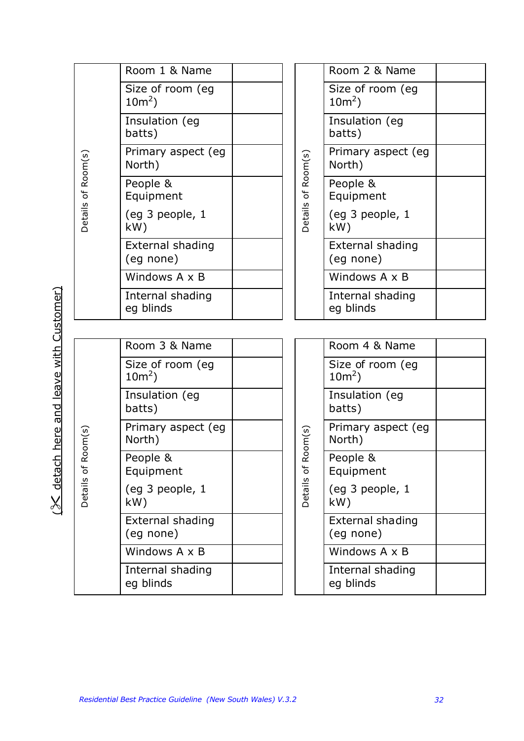|  |                            | Room 1 & Name                 |  |                    | Room 2 & Name                 |  |
|--|----------------------------|-------------------------------|--|--------------------|-------------------------------|--|
|  |                            | Size of room (eg<br>$10m^2$ ) |  |                    | Size of room (eg<br>$10m^2$ ) |  |
|  |                            | Insulation (eg<br>batts)      |  |                    | Insulation (eg<br>batts)      |  |
|  |                            | Primary aspect (eg<br>North)  |  |                    | Primary aspect (eg<br>North)  |  |
|  | Details of Room(s)         | People &<br>Equipment         |  | Details of Room(s) | People &<br>Equipment         |  |
|  |                            | (eg 3 people, 1<br>kW)        |  |                    | (eg 3 people, 1<br>kW)        |  |
|  |                            | External shading<br>(eg none) |  |                    | External shading<br>(eg none) |  |
|  |                            | Windows A x B                 |  |                    | Windows A x B                 |  |
|  |                            | Internal shading<br>eg blinds |  |                    | Internal shading<br>eg blinds |  |
|  |                            |                               |  |                    |                               |  |
|  |                            | Room 3 & Name                 |  |                    | Room 4 & Name                 |  |
|  |                            | Size of room (eg<br>$10m^2$ ) |  |                    | Size of room (eg<br>$10m^2$ ) |  |
|  |                            | Insulation (eg<br>batts)      |  |                    | Insulation (eg<br>batts)      |  |
|  | $\mathsf{oom}(\mathsf{s})$ | Primary aspect (eg<br>North)  |  | oom(s)             | Primary aspect (eg<br>North)  |  |
|  | ∝<br>$\mathfrak{b}$        | People &<br>Equipment         |  | ≃<br>ðf            | People &<br>Equipment         |  |
|  | Details                    | (eg 3 people, 1<br>kW)        |  | <b>Details</b>     | (eg 3 people, 1<br>kW)        |  |
|  |                            | External shading<br>(eg none) |  |                    | External shading<br>(eg none) |  |
|  |                            | Windows $A \times B$          |  |                    | Windows $A \times B$          |  |
|  |                            | Internal shading<br>eg blinds |  |                    | Internal shading<br>eg blinds |  |

(% detach here and leave with Customer)  $(X$  detach here and leave with Customer)